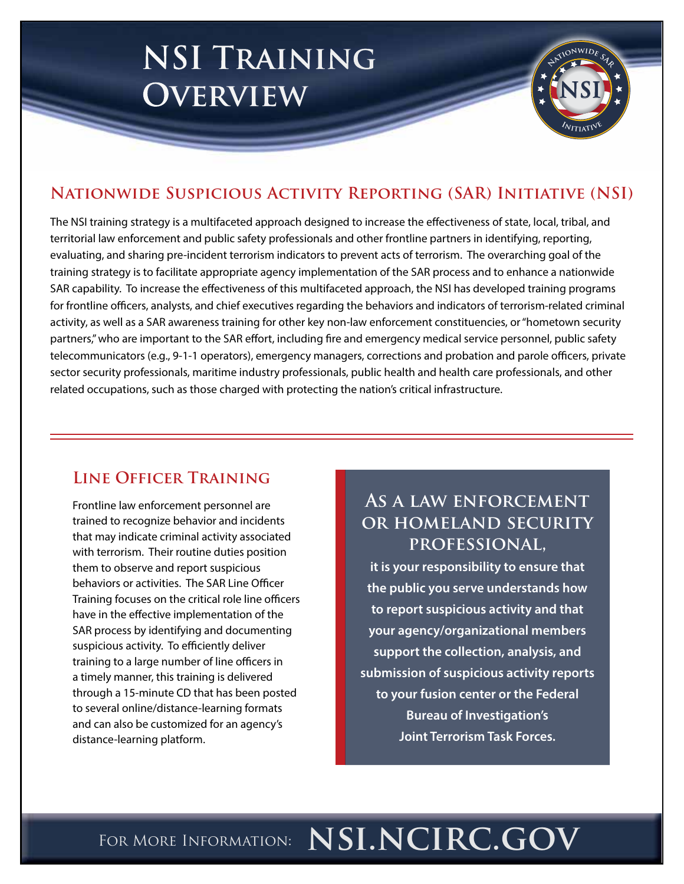## **NSI Training Overview**



#### **Nationwide Suspicious Activity Reporting (SAR) Initiative (NSI)**

The NSI training strategy is a multifaceted approach designed to increase the effectiveness of state, local, tribal, and territorial law enforcement and public safety professionals and other frontline partners in identifying, reporting, evaluating, and sharing pre-incident terrorism indicators to prevent acts of terrorism. The overarching goal of the training strategy is to facilitate appropriate agency implementation of the SAR process and to enhance a nationwide SAR capability. To increase the effectiveness of this multifaceted approach, the NSI has developed training programs for frontline officers, analysts, and chief executives regarding the behaviors and indicators of terrorism-related criminal activity, as well as a SAR awareness training for other key non-law enforcement constituencies, or "hometown security partners," who are important to the SAR effort, including fire and emergency medical service personnel, public safety telecommunicators (e.g., 9-1-1 operators), emergency managers, corrections and probation and parole officers, private sector security professionals, maritime industry professionals, public health and health care professionals, and other related occupations, such as those charged with protecting the nation's critical infrastructure.

#### **Line Officer Training**

Frontline law enforcement personnel are trained to recognize behavior and incidents that may indicate criminal activity associated with terrorism. Their routine duties position them to observe and report suspicious behaviors or activities. The SAR Line Officer Training focuses on the critical role line officers have in the effective implementation of the SAR process by identifying and documenting suspicious activity. To efficiently deliver training to a large number of line officers in a timely manner, this training is delivered through a 15-minute CD that has been posted to several online/distance-learning formats and can also be customized for an agency's distance-learning platform.

#### **As a law enforcement or homeland security professional,**

**it is your responsibility to ensure that the public you serve understands how to report suspicious activity and that your agency/organizational members support the collection, analysis, and submission of suspicious activity reports to your fusion center or the Federal Bureau of Investigation's Joint Terrorism Task Forces.** 

## FOR MORE INFORMATION: **NSI.NCIRC.GOV**